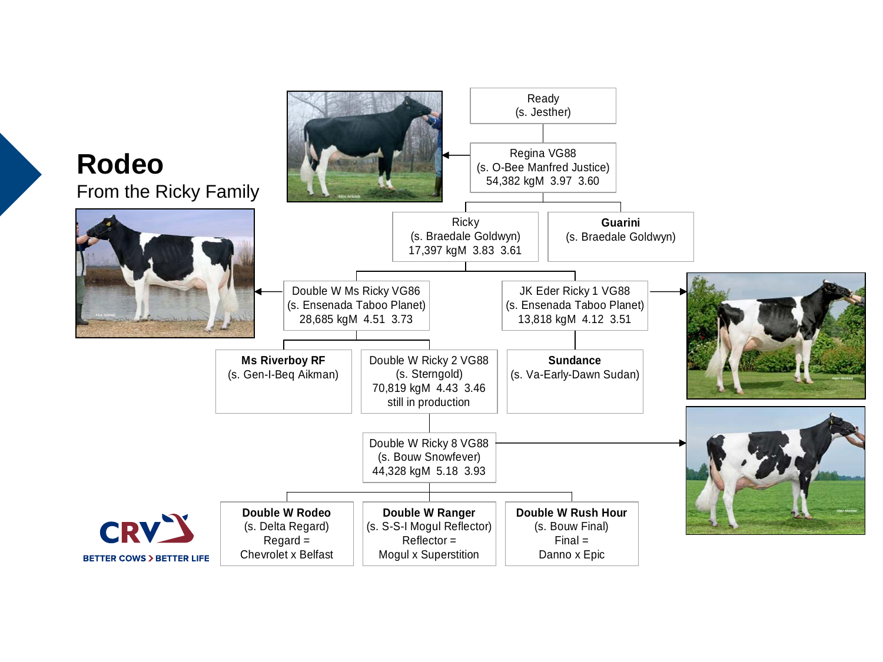